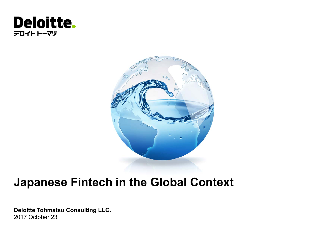### **Deloitte.** デロイト トーマツ



# **Japanese Fintech in the Global Context**

**Deloitte Tohmatsu Consulting LLC.** 2017 October 23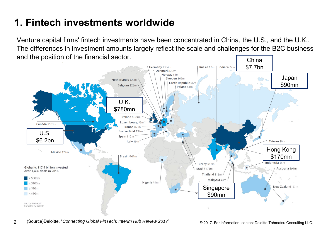## **1. Fintech investments worldwide**

Venture capital firms' fintech investments have been concentrated in China, the U.S., and the U.K.. The differences in investment amounts largely reflect the scale and challenges for the B2C business and the position of the financial sector. **China** 

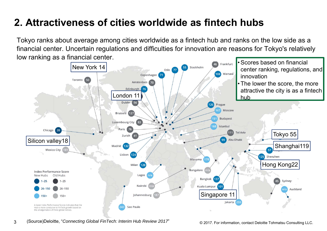### **2. Attractiveness of cities worldwide as fintech hubs**

Tokyo ranks about average among cities worldwide as a fintech hub and ranks on the low side as a financial center. Uncertain regulations and difficulties for innovation are reasons for Tokyo's relatively low ranking as a financial center.

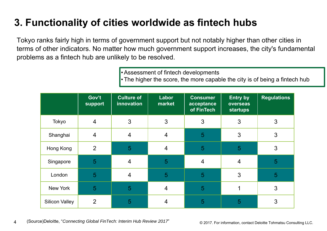## **3. Functionality of cities worldwide as fintech hubs**

Tokyo ranks fairly high in terms of government support but not notably higher than other cities in terms of other indicators. No matter how much government support increases, the city's fundamental problems as a fintech hub are unlikely to be resolved.

• Assessment of fintech developments

• The higher the score, the more capable the city is of being a fintech hub

|                       | Gov't<br>support | <b>Culture of</b><br>innovation | Labor<br>market | <b>Consumer</b><br>acceptance<br>of FinTech | <b>Entry by</b><br>overseas<br><b>startups</b> | <b>Regulations</b> |
|-----------------------|------------------|---------------------------------|-----------------|---------------------------------------------|------------------------------------------------|--------------------|
| Tokyo                 | $\overline{4}$   | 3                               | 3               | 3                                           | 3                                              | 3                  |
| Shanghai              | $\overline{4}$   | $\overline{4}$                  | $\overline{4}$  | 5                                           | 3                                              | 3                  |
| Hong Kong             | $\overline{2}$   | 5                               | $\overline{4}$  | 5                                           | 5                                              | 3                  |
| Singapore             | 5                | $\overline{4}$                  | 5               | $\overline{4}$                              | $\overline{4}$                                 | 5                  |
| London                | 5                | $\overline{4}$                  | 5               | 5                                           | 3                                              | 5                  |
| New York              | 5                | 5                               | $\overline{4}$  | 5                                           |                                                | 3                  |
| <b>Silicon Valley</b> | $\overline{2}$   | 5                               | 4               | 5                                           | 5                                              | 3                  |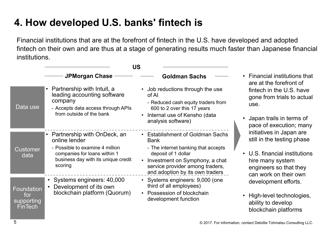### **4. How developed U.S. banks' fintech is**

Financial institutions that are at the forefront of fintech in the U.S. have developed and adopted fintech on their own and are thus at a stage of generating results much faster than Japanese financial institutions.

|                                                          | US                                                                                                                                                                |                                                                                                                                                                                                                            |                                                                                                                                                              |
|----------------------------------------------------------|-------------------------------------------------------------------------------------------------------------------------------------------------------------------|----------------------------------------------------------------------------------------------------------------------------------------------------------------------------------------------------------------------------|--------------------------------------------------------------------------------------------------------------------------------------------------------------|
|                                                          | <b>JPMorgan Chase</b>                                                                                                                                             | <b>Goldman Sachs</b>                                                                                                                                                                                                       | • Financial institutions that<br>are at the forefront of                                                                                                     |
| Data use                                                 | Partnership with Intuit, a<br>leading accounting software<br>company<br>- Accepts data access through APIs<br>from outside of the bank                            | Job reductions through the use<br>of Al<br>- Reduced cash equity traders from<br>600 to 2 over this 17 years<br>Internal use of Kensho (data<br>analysis software)                                                         | fintech in the U.S. have<br>gone from trials to actual<br>use.<br>Japan trails in terms of<br>pace of execution; many                                        |
| <b>Customer</b><br>data                                  | Partnership with OnDeck, an<br>online lender<br>- Possible to examine 4 million<br>companies for loans within 1<br>business day with its unique credit<br>scoring | <b>Establishment of Goldman Sachs</b><br><b>Bank</b><br>- The internet banking that accepts<br>deposit of 1 dollar<br>Investment on Symphony, a chat<br>service provider among traders,<br>and adoption by its own traders | initiatives in Japan are<br>still in the testing phase<br>U.S. financial institutions<br>hire many system<br>engineers so that they<br>can work on their own |
| <b>Foundation</b><br>for<br>supporting<br><b>FinTech</b> | • Systems engineers: 40,000<br>Development of its own<br>blockchain platform (Quorum)                                                                             | • Systems engineers: 9,000 (one<br>third of all employees)<br>• Possession of blockchain<br>development function                                                                                                           | development efforts.<br>High-level technologies,<br>ability to develop<br>blockchain platforms                                                               |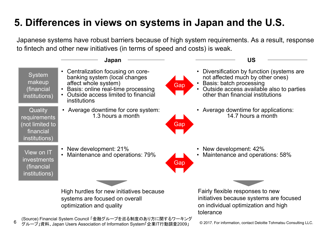## **5. Differences in views on systems in Japan and the U.S.**

Japanese systems have robust barriers because of high system requirements. As a result, response to fintech and other new initiatives (in terms of speed and costs) is weak.

|                                                                          | Japan                                                                                                                                                                                               |     | <b>US</b>                                                                                                                                                                                  |
|--------------------------------------------------------------------------|-----------------------------------------------------------------------------------------------------------------------------------------------------------------------------------------------------|-----|--------------------------------------------------------------------------------------------------------------------------------------------------------------------------------------------|
| <b>System</b><br>makeup<br>(financial<br>institutions)                   | Centralization focusing on core-<br>$\bullet$<br>banking system (local changes<br>affect whole system)<br>Basis: online real-time processing<br>Outside access limited to financial<br>institutions | Gap | Diversification by function (systems are<br>not affected much by other ones)<br>Basis: batch processing<br>• Outside access available also to parties<br>other than financial institutions |
| Quality<br>requirements<br>(not limited to<br>financial<br>institutions) | • Average downtime for core system:<br>1.3 hours a month                                                                                                                                            | Gap | • Average downtime for applications:<br>14.7 hours a month                                                                                                                                 |
| View on IT<br><i>investments</i><br>(financial<br>institutions)          | New development: 21%<br>Maintenance and operations: 79%                                                                                                                                             | Gap | New development: 42%<br>Maintenance and operations: 58%                                                                                                                                    |
|                                                                          | High hurdles for new initiatives because<br>systems are focused on overall<br>optimization and quality                                                                                              |     | Fairly flexible responses to new<br>initiatives because systems are focused<br>on individual optimization and high<br>tolerance                                                            |
|                                                                          | (Source) Financial System Council 「金融グループを巡る制度のあり方に関するワーキング                                                                                                                                         |     | $\mathbf{r}$ , $\mathbf{r}$ , $\mathbf{r}$ , $\mathbf{r}$ , $\mathbf{r}$                                                                                                                   |

6り ゲル一プ」咨判 Japan Users Association of Information System「企業IT行動調本2009」 © 2017. For information, contact Deloitte Tohmatsu Consulting LLC. グループ」資料、Japan Users Association of Information System「企業IT行動調査2009」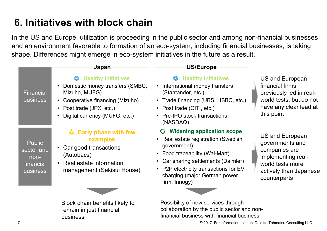# **6. Initiatives with block chain**

remain in just financial

business

In the US and Europe, utilization is proceeding in the public sector and among non-financial businesses and an environment favorable to formation of an eco-system, including financial businesses, is taking shape. Differences might emerge in eco-system initiatives in the future as a result.

|                                                                     | Japan                                                                                                                                                                                 | <b>US/Europe</b>                                                                                                                                                                                                                                       |                                                                                                                                                |
|---------------------------------------------------------------------|---------------------------------------------------------------------------------------------------------------------------------------------------------------------------------------|--------------------------------------------------------------------------------------------------------------------------------------------------------------------------------------------------------------------------------------------------------|------------------------------------------------------------------------------------------------------------------------------------------------|
| Financial<br><b>business</b>                                        | <b>S</b> : Healthy initiatives<br>Domestic money transfers (SMBC,<br>Mizuho, MUFG)<br>• Cooperative financing (Mizuho)<br>• Post trade (JPX, etc.)<br>• Digital currency (MUFG, etc.) | <b>S</b> : Healthy initiatives<br>International money transfers<br>(Stantander, etc.)<br>• Trade financing (UBS, HSBC, etc.)<br>• Post trade (CITI, etc.)<br>• Pre-IPO stock transactions<br>(NASDAQ)                                                  | US and European<br>financial firms<br>previously led in real-<br>world tests, but do not<br>have any clear lead at<br>this point               |
| <b>Public</b><br>sector and<br>non-<br>financial<br><b>business</b> | $\triangle$ : Early phase with few<br>examples<br>• Car good transactions<br>(Autobacs)<br>• Real estate information<br>management (Sekisui House)                                    | ©: Widening application scope<br>• Real estate registration (Swedish<br>government)<br>• Food traceability (Wal-Mart)<br>• Car sharing settlements (Daimler)<br>• P2P electricity transactions for EV<br>charging (major German power<br>firm: Innogy) | <b>US and European</b><br>governments and<br>companies are<br>implementing real-<br>world tests more<br>actively than Japanese<br>counterparts |
|                                                                     | Block chain benefits likely to                                                                                                                                                        | Possibility of new services through                                                                                                                                                                                                                    |                                                                                                                                                |

Possibility of new services through collaboration by the public sector and nonfinancial business with financial business

7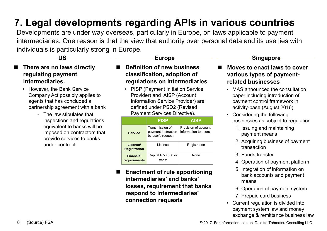### **7. Legal developments regarding APIs in various countries**

Developments are under way overseas, particularly in Europe, on laws applicable to payment intermediaries. One reason is that the view that authority over personal data and its use lies with individuals is particularly strong in Europe.

**US**

### Europe **Singapore**

- $\blacksquare$  **There are no laws directly regulating payment intermediaries.** 
	- However, the Bank Service Company Act possibly applies to agents that has concluded a partnership agreement with a bank
		- The law stipulates that inspections and regulations equivalent to banks will be imposed on contractors that provide services to banks under contract.
- $\blacksquare$  **Definition of new business classification, adoption of regulations on intermediaries**
	- PISP (Payment Initiation Service Provider) and AISP (Account Information Service Provider) are defined under PSD2 (Revised Payment Services Directive).

|                                  | <b>PISP</b>                                                 | <b>AISP</b>                                  |
|----------------------------------|-------------------------------------------------------------|----------------------------------------------|
| <b>Service</b>                   | Transmission of<br>payment instruction<br>by user's request | Provision of account<br>information to users |
| License/<br><b>Registration</b>  | I icense                                                    | Registration                                 |
| <b>Financial</b><br>requirements | Capital $\in$ 50,000 or<br>more                             | <b>None</b>                                  |

 $\blacksquare$  **Enactment of rule apportioning intermediaries' and banks' losses, requirement that banks respond to intermediaries' connection requests**

### $\blacksquare$  **Moves to enact laws to cover various types of paymentrelated businesses**

- MAS announced the consultation paper including introduction of payment control framework in activity-base (August 2016).
- Considering the following businesses as subject to regulation
	- 1. Issuing and maintaining payment means
	- 2. Acquiring business of payment transaction
	- 3. Funds transfer
	- 4. Operation of payment platform
	- 5. Integration of information on bank accounts and payment means
	- 6. Operation of payment system
	- 7. Prepaid card business
- Current regulation is divided into payment system law and money exchange & remittance business law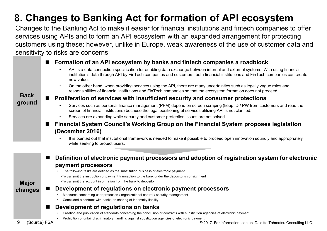# **8. Changes to Banking Act for formation of API ecosystem**

Changes to the Banking Act to make it easier for financial institutions and fintech companies to offer services using APIs and to form an API ecosystem with an expanded arrangement for protecting customers using these; however, unlike in Europe, weak awareness of the use of customer data and sensitivity to risks are concerns

### $\blacksquare$ **Formation of an API ecosystem by banks and fintech companies a roadblock**

- • API is a data connection specification for enabling data exchange between internal and external systems. With using financial institution's data through API by FinTech companies and customers, both financial institutions and FinTech companies can create new value.
- • On the other hand, when providing services using the API, there are many uncertainties such as legally vague roles and responsibilities of financial institutions and FinTech companies so that the ecosystem formation does not proceed.

#### $\blacksquare$ **Proliferation of services with insufficient security and consumer protections**

- • Services such as personal finance management (PFM) depend on screen scraping (keep ID / PW from customers and read the screen of financial institutions) because the legal positioning of services utilizing API is not clarified.
- •Services are expanding while security and customer protection issues are not solved
- $\blacksquare$  **Financial System Council's Working Group on the Financial System proposes legislation (December 2016)**
	- • It is pointed out that institutional framework is needed to make it possible to proceed open innovation soundly and appropriately while seeking to protect users.
- $\blacksquare$  **Definition of electronic payment processors and adoption of registration system for electronic payment processors**
	- The following tasks are defined as the substitution business of electronic payment;
		- -To transmit the instruction of payment transaction to the bank under the depositor's consignment
		- -To transmit the account information from the bank to depositor

### **Major changes**

**Back**

**ground**

- $\blacksquare$  **Development of regulations on electronic payment processors**
	- •Measures concerning user protection / organizational control / security management
	- Concluded a contract with banks on sharing of indemnity liability

### $\blacksquare$ **Development of regulations on banks**

- •Creation and publication of standards concerning the conclusion of contracts with substitution agencies of electronic payment
- •Prohibition of unfair discriminatory handling against substitution agencies of electronic payment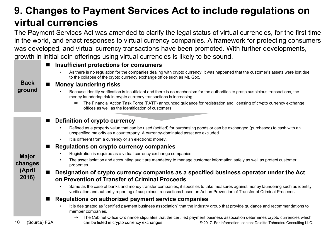### **9. Changes to Payment Services Act to include regulations on virtual currencies**

The Payment Services Act was amended to clarify the legal status of virtual currencies, for the first time in the world, and enact responses to virtual currency companies. A framework for protecting consumers was developed, and virtual currency transactions have been promoted. With further developments, growth in initial coin offerings using virtual currencies is likely to be sound.

|                            | Insufficient protections for consumers                                                                                                                                                                                                                           |  |  |  |  |  |
|----------------------------|------------------------------------------------------------------------------------------------------------------------------------------------------------------------------------------------------------------------------------------------------------------|--|--|--|--|--|
| <b>Back</b><br>ground      | As there is no regulation for the companies dealing with crypto currency, it was happened that the customer's assets were lost due<br>to the collapse of the crypto currency exchange office such as Mt. Gox.                                                    |  |  |  |  |  |
|                            | <b>Money laundering risks</b>                                                                                                                                                                                                                                    |  |  |  |  |  |
|                            | Because identity verification is insufficient and there is no mechanism for the authorities to grasp suspicious transactions, the<br>money laundering risk in crypto currency transactions is increasing                                                         |  |  |  |  |  |
|                            | The Financial Action Task Force (FATF) announced guidance for registration and licensing of crypto currency exchange<br>$\Rightarrow$<br>offices as well as the identification of customers                                                                      |  |  |  |  |  |
|                            | Definition of crypto currency                                                                                                                                                                                                                                    |  |  |  |  |  |
|                            | Defined as a property value that can be used (settled) for purchasing goods or can be exchanged (purchased) to cash with an<br>unspecified majority as a counterparty. A currency-dominated asset are excluded.                                                  |  |  |  |  |  |
|                            | It is different from a currency or an electronic money.<br>$\bullet$                                                                                                                                                                                             |  |  |  |  |  |
|                            | Regulations on crypto currency companies                                                                                                                                                                                                                         |  |  |  |  |  |
| <b>Major</b>               | Registration is required as a virtual currency exchange companies                                                                                                                                                                                                |  |  |  |  |  |
| changes<br>(April<br>2016) | The asset isolation and accounting audit are mandatory to manage customer information safely as well as protect customer<br>properties                                                                                                                           |  |  |  |  |  |
|                            | Designation of crypto currency companies as a specified business operator under the Act<br>on Prevention of Transfer of Criminal Proceeds                                                                                                                        |  |  |  |  |  |
|                            | Same as the case of banks and money transfer companies, it specifies to take measures against money laundering such as identity<br>verification and authority reporting of suspicious transactions based on Act on Prevention of Transfer of Criminal Proceeds.  |  |  |  |  |  |
|                            | Regulations on authorized payment service companies                                                                                                                                                                                                              |  |  |  |  |  |
|                            | It is designated as "certified payment business association" that the industry group that provide guidance and recommendations to<br>member companies.                                                                                                           |  |  |  |  |  |
| 10<br>(Source) FSA         | The Cabinet Office Ordinance stipulates that the certified payment business association determines crypto currencies which<br>$\Rightarrow$<br>can be listed in crypto currency exchanges.<br>© 2017. For information, contact Deloitte Tohmatsu Consulting LLC. |  |  |  |  |  |
|                            |                                                                                                                                                                                                                                                                  |  |  |  |  |  |

 $1<sub>0</sub>$